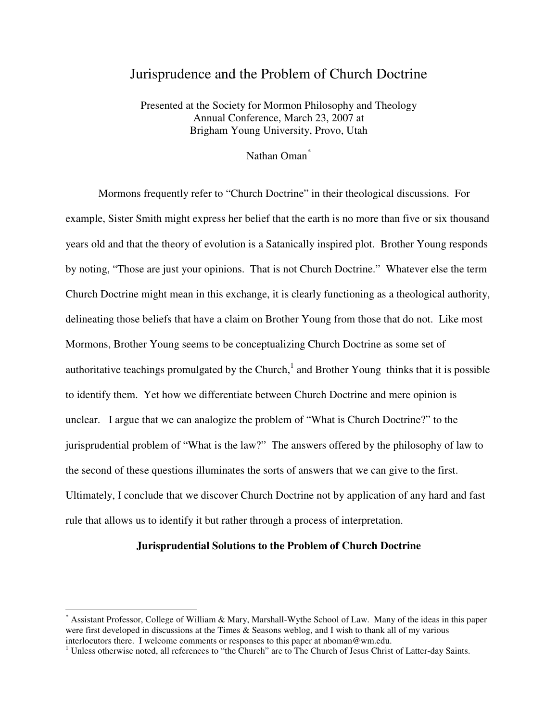# Jurisprudence and the Problem of Church Doctrine

Presented at the Society for Mormon Philosophy and Theology Annual Conference, March 23, 2007 at Brigham Young University, Provo, Utah

# Nathan Oman<sup>\*</sup>

 Mormons frequently refer to "Church Doctrine" in their theological discussions. For example, Sister Smith might express her belief that the earth is no more than five or six thousand years old and that the theory of evolution is a Satanically inspired plot. Brother Young responds by noting, "Those are just your opinions. That is not Church Doctrine." Whatever else the term Church Doctrine might mean in this exchange, it is clearly functioning as a theological authority, delineating those beliefs that have a claim on Brother Young from those that do not. Like most Mormons, Brother Young seems to be conceptualizing Church Doctrine as some set of authoritative teachings promulgated by the Church, $<sup>1</sup>$  and Brother Young thinks that it is possible</sup> to identify them. Yet how we differentiate between Church Doctrine and mere opinion is unclear. I argue that we can analogize the problem of "What is Church Doctrine?" to the jurisprudential problem of "What is the law?" The answers offered by the philosophy of law to the second of these questions illuminates the sorts of answers that we can give to the first. Ultimately, I conclude that we discover Church Doctrine not by application of any hard and fast rule that allows us to identify it but rather through a process of interpretation.

### **Jurisprudential Solutions to the Problem of Church Doctrine**

<sup>\*</sup> Assistant Professor, College of William & Mary, Marshall-Wythe School of Law. Many of the ideas in this paper were first developed in discussions at the Times & Seasons weblog, and I wish to thank all of my various interlocutors there. I welcome comments or responses to this paper at nboman@wm.edu.

<sup>&</sup>lt;sup>1</sup> Unless otherwise noted, all references to "the Church" are to The Church of Jesus Christ of Latter-day Saints.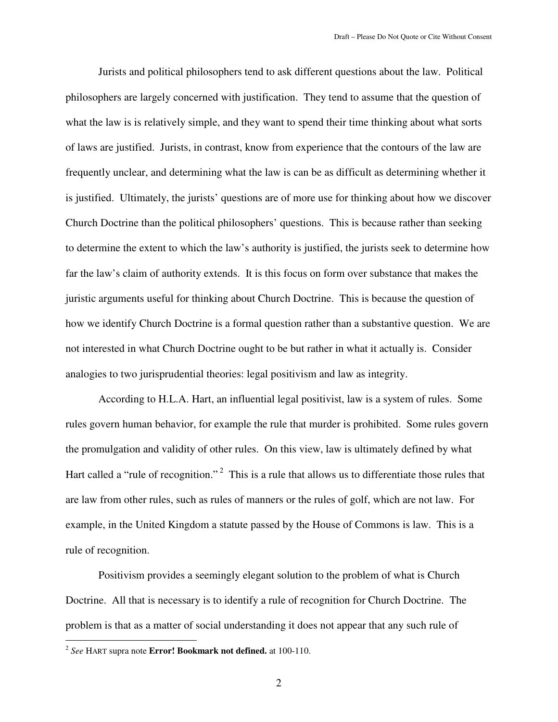Jurists and political philosophers tend to ask different questions about the law. Political philosophers are largely concerned with justification. They tend to assume that the question of what the law is is relatively simple, and they want to spend their time thinking about what sorts of laws are justified. Jurists, in contrast, know from experience that the contours of the law are frequently unclear, and determining what the law is can be as difficult as determining whether it is justified. Ultimately, the jurists' questions are of more use for thinking about how we discover Church Doctrine than the political philosophers' questions. This is because rather than seeking to determine the extent to which the law's authority is justified, the jurists seek to determine how far the law's claim of authority extends. It is this focus on form over substance that makes the juristic arguments useful for thinking about Church Doctrine. This is because the question of how we identify Church Doctrine is a formal question rather than a substantive question. We are not interested in what Church Doctrine ought to be but rather in what it actually is. Consider analogies to two jurisprudential theories: legal positivism and law as integrity.

According to H.L.A. Hart, an influential legal positivist, law is a system of rules. Some rules govern human behavior, for example the rule that murder is prohibited. Some rules govern the promulgation and validity of other rules. On this view, law is ultimately defined by what Hart called a "rule of recognition."<sup>2</sup> This is a rule that allows us to differentiate those rules that are law from other rules, such as rules of manners or the rules of golf, which are not law. For example, in the United Kingdom a statute passed by the House of Commons is law. This is a rule of recognition.

Positivism provides a seemingly elegant solution to the problem of what is Church Doctrine. All that is necessary is to identify a rule of recognition for Church Doctrine. The problem is that as a matter of social understanding it does not appear that any such rule of

<sup>2</sup> *See* HART supra note **Error! Bookmark not defined.** at 100-110.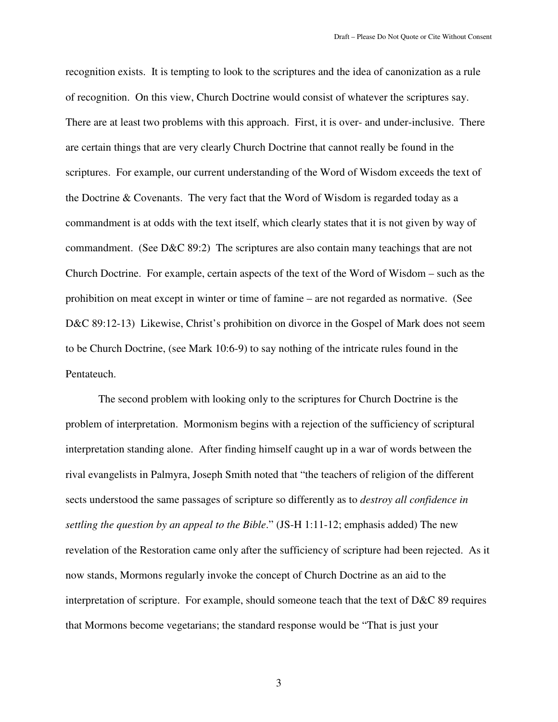recognition exists. It is tempting to look to the scriptures and the idea of canonization as a rule of recognition. On this view, Church Doctrine would consist of whatever the scriptures say. There are at least two problems with this approach. First, it is over- and under-inclusive. There are certain things that are very clearly Church Doctrine that cannot really be found in the scriptures. For example, our current understanding of the Word of Wisdom exceeds the text of the Doctrine & Covenants. The very fact that the Word of Wisdom is regarded today as a commandment is at odds with the text itself, which clearly states that it is not given by way of commandment. (See D&C 89:2) The scriptures are also contain many teachings that are not Church Doctrine. For example, certain aspects of the text of the Word of Wisdom – such as the prohibition on meat except in winter or time of famine – are not regarded as normative. (See D&C 89:12-13) Likewise, Christ's prohibition on divorce in the Gospel of Mark does not seem to be Church Doctrine, (see Mark 10:6-9) to say nothing of the intricate rules found in the Pentateuch.

The second problem with looking only to the scriptures for Church Doctrine is the problem of interpretation. Mormonism begins with a rejection of the sufficiency of scriptural interpretation standing alone. After finding himself caught up in a war of words between the rival evangelists in Palmyra, Joseph Smith noted that "the teachers of religion of the different sects understood the same passages of scripture so differently as to *destroy all confidence in settling the question by an appeal to the Bible*." (JS-H 1:11-12; emphasis added) The new revelation of the Restoration came only after the sufficiency of scripture had been rejected. As it now stands, Mormons regularly invoke the concept of Church Doctrine as an aid to the interpretation of scripture. For example, should someone teach that the text of D&C 89 requires that Mormons become vegetarians; the standard response would be "That is just your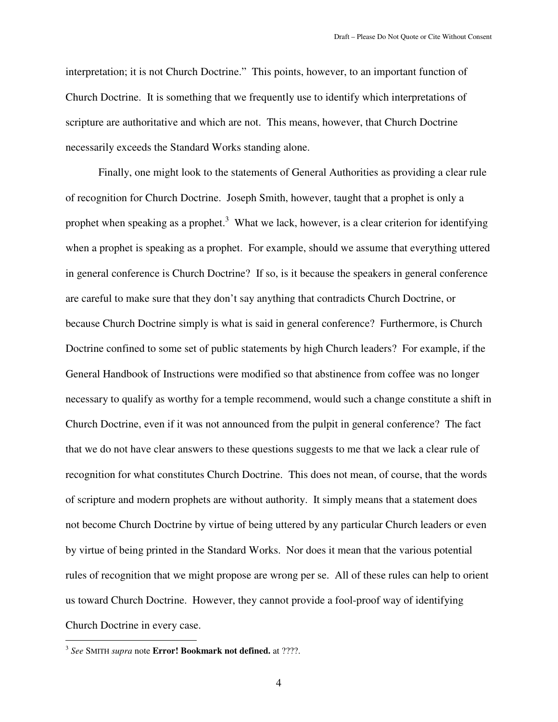interpretation; it is not Church Doctrine." This points, however, to an important function of Church Doctrine. It is something that we frequently use to identify which interpretations of scripture are authoritative and which are not. This means, however, that Church Doctrine necessarily exceeds the Standard Works standing alone.

Finally, one might look to the statements of General Authorities as providing a clear rule of recognition for Church Doctrine. Joseph Smith, however, taught that a prophet is only a prophet when speaking as a prophet.<sup>3</sup> What we lack, however, is a clear criterion for identifying when a prophet is speaking as a prophet. For example, should we assume that everything uttered in general conference is Church Doctrine? If so, is it because the speakers in general conference are careful to make sure that they don't say anything that contradicts Church Doctrine, or because Church Doctrine simply is what is said in general conference? Furthermore, is Church Doctrine confined to some set of public statements by high Church leaders? For example, if the General Handbook of Instructions were modified so that abstinence from coffee was no longer necessary to qualify as worthy for a temple recommend, would such a change constitute a shift in Church Doctrine, even if it was not announced from the pulpit in general conference? The fact that we do not have clear answers to these questions suggests to me that we lack a clear rule of recognition for what constitutes Church Doctrine. This does not mean, of course, that the words of scripture and modern prophets are without authority. It simply means that a statement does not become Church Doctrine by virtue of being uttered by any particular Church leaders or even by virtue of being printed in the Standard Works. Nor does it mean that the various potential rules of recognition that we might propose are wrong per se. All of these rules can help to orient us toward Church Doctrine. However, they cannot provide a fool-proof way of identifying Church Doctrine in every case.

 3 *See* SMITH *supra* note **Error! Bookmark not defined.** at ????.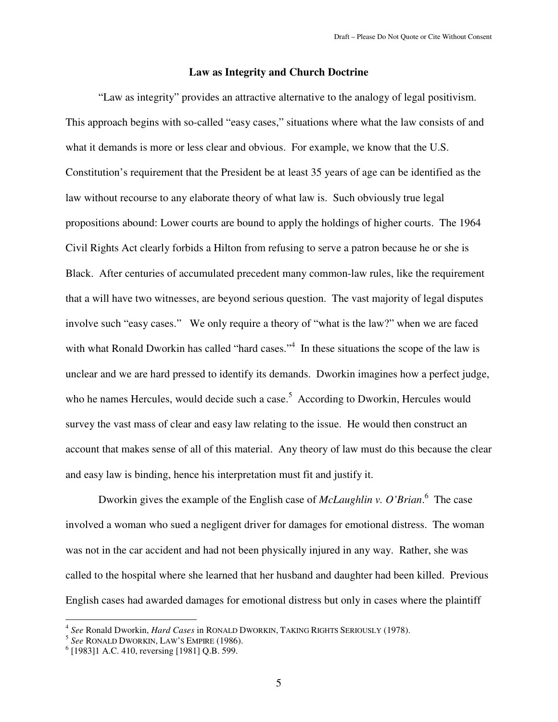## **Law as Integrity and Church Doctrine**

"Law as integrity" provides an attractive alternative to the analogy of legal positivism. This approach begins with so-called "easy cases," situations where what the law consists of and what it demands is more or less clear and obvious. For example, we know that the U.S. Constitution's requirement that the President be at least 35 years of age can be identified as the law without recourse to any elaborate theory of what law is. Such obviously true legal propositions abound: Lower courts are bound to apply the holdings of higher courts. The 1964 Civil Rights Act clearly forbids a Hilton from refusing to serve a patron because he or she is Black. After centuries of accumulated precedent many common-law rules, like the requirement that a will have two witnesses, are beyond serious question. The vast majority of legal disputes involve such "easy cases." We only require a theory of "what is the law?" when we are faced with what Ronald Dworkin has called "hard cases."<sup>4</sup> In these situations the scope of the law is unclear and we are hard pressed to identify its demands. Dworkin imagines how a perfect judge, who he names Hercules, would decide such a case.<sup>5</sup> According to Dworkin, Hercules would survey the vast mass of clear and easy law relating to the issue. He would then construct an account that makes sense of all of this material. Any theory of law must do this because the clear and easy law is binding, hence his interpretation must fit and justify it.

Dworkin gives the example of the English case of *McLaughlin v. O'Brian*.<sup>6</sup> The case involved a woman who sued a negligent driver for damages for emotional distress. The woman was not in the car accident and had not been physically injured in any way. Rather, she was called to the hospital where she learned that her husband and daughter had been killed. Previous English cases had awarded damages for emotional distress but only in cases where the plaintiff

 4 *See* Ronald Dworkin, *Hard Cases* in RONALD DWORKIN, TAKING RIGHTS SERIOUSLY (1978). 5 *See* RONALD DWORKIN, LAW'S EMPIRE (1986).

<sup>6</sup> [1983]1 A.C. 410, reversing [1981] Q.B. 599.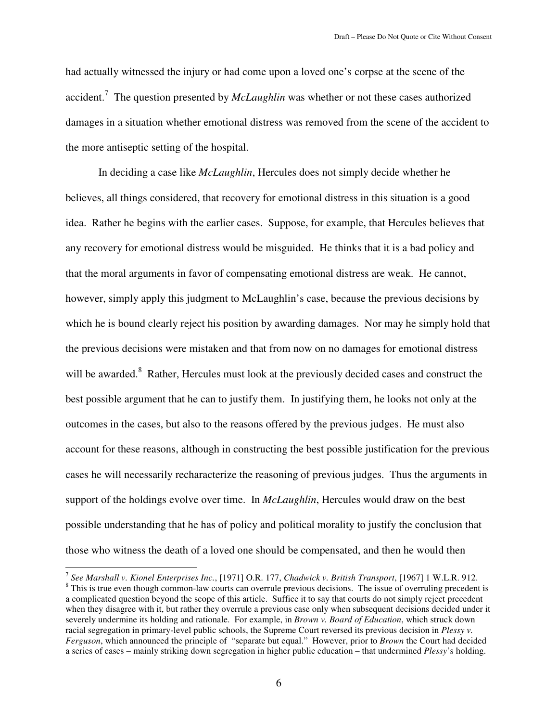had actually witnessed the injury or had come upon a loved one's corpse at the scene of the accident.<sup>7</sup> The question presented by *McLaughlin* was whether or not these cases authorized damages in a situation whether emotional distress was removed from the scene of the accident to the more antiseptic setting of the hospital.

In deciding a case like *McLaughlin*, Hercules does not simply decide whether he believes, all things considered, that recovery for emotional distress in this situation is a good idea. Rather he begins with the earlier cases. Suppose, for example, that Hercules believes that any recovery for emotional distress would be misguided. He thinks that it is a bad policy and that the moral arguments in favor of compensating emotional distress are weak. He cannot, however, simply apply this judgment to McLaughlin's case, because the previous decisions by which he is bound clearly reject his position by awarding damages. Nor may he simply hold that the previous decisions were mistaken and that from now on no damages for emotional distress will be awarded.<sup>8</sup> Rather, Hercules must look at the previously decided cases and construct the best possible argument that he can to justify them. In justifying them, he looks not only at the outcomes in the cases, but also to the reasons offered by the previous judges. He must also account for these reasons, although in constructing the best possible justification for the previous cases he will necessarily recharacterize the reasoning of previous judges. Thus the arguments in support of the holdings evolve over time. In *McLaughlin*, Hercules would draw on the best possible understanding that he has of policy and political morality to justify the conclusion that those who witness the death of a loved one should be compensated, and then he would then

 7 *See Marshall v. Kionel Enterprises Inc.*, [1971] O.R. 177, *Chadwick v. British Transport*, [1967] 1 W.L.R. 912.

<sup>&</sup>lt;sup>8</sup> This is true even though common-law courts can overrule previous decisions. The issue of overruling precedent is a complicated question beyond the scope of this article. Suffice it to say that courts do not simply reject precedent when they disagree with it, but rather they overrule a previous case only when subsequent decisions decided under it severely undermine its holding and rationale. For example, in *Brown v. Board of Education*, which struck down racial segregation in primary-level public schools, the Supreme Court reversed its previous decision in *Plessy v. Ferguson*, which announced the principle of "separate but equal." However, prior to *Brown* the Court had decided a series of cases – mainly striking down segregation in higher public education – that undermined *Plessy*'s holding.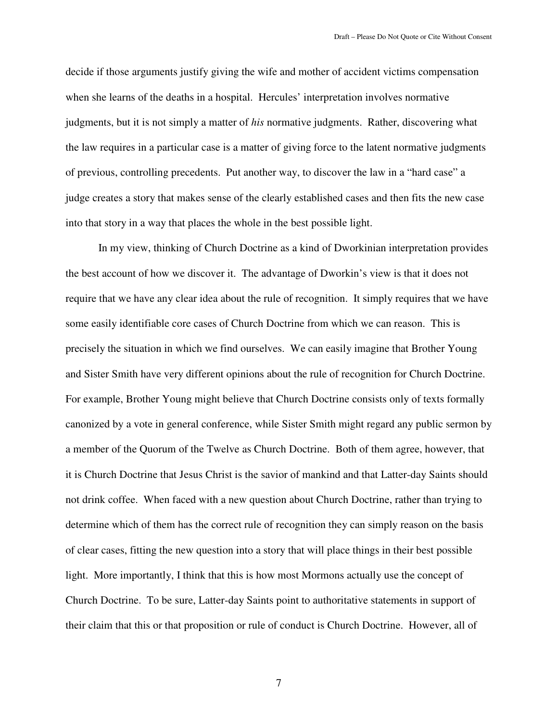decide if those arguments justify giving the wife and mother of accident victims compensation when she learns of the deaths in a hospital. Hercules' interpretation involves normative judgments, but it is not simply a matter of *his* normative judgments. Rather, discovering what the law requires in a particular case is a matter of giving force to the latent normative judgments of previous, controlling precedents. Put another way, to discover the law in a "hard case" a judge creates a story that makes sense of the clearly established cases and then fits the new case into that story in a way that places the whole in the best possible light.

In my view, thinking of Church Doctrine as a kind of Dworkinian interpretation provides the best account of how we discover it. The advantage of Dworkin's view is that it does not require that we have any clear idea about the rule of recognition. It simply requires that we have some easily identifiable core cases of Church Doctrine from which we can reason. This is precisely the situation in which we find ourselves. We can easily imagine that Brother Young and Sister Smith have very different opinions about the rule of recognition for Church Doctrine. For example, Brother Young might believe that Church Doctrine consists only of texts formally canonized by a vote in general conference, while Sister Smith might regard any public sermon by a member of the Quorum of the Twelve as Church Doctrine. Both of them agree, however, that it is Church Doctrine that Jesus Christ is the savior of mankind and that Latter-day Saints should not drink coffee. When faced with a new question about Church Doctrine, rather than trying to determine which of them has the correct rule of recognition they can simply reason on the basis of clear cases, fitting the new question into a story that will place things in their best possible light. More importantly, I think that this is how most Mormons actually use the concept of Church Doctrine. To be sure, Latter-day Saints point to authoritative statements in support of their claim that this or that proposition or rule of conduct is Church Doctrine. However, all of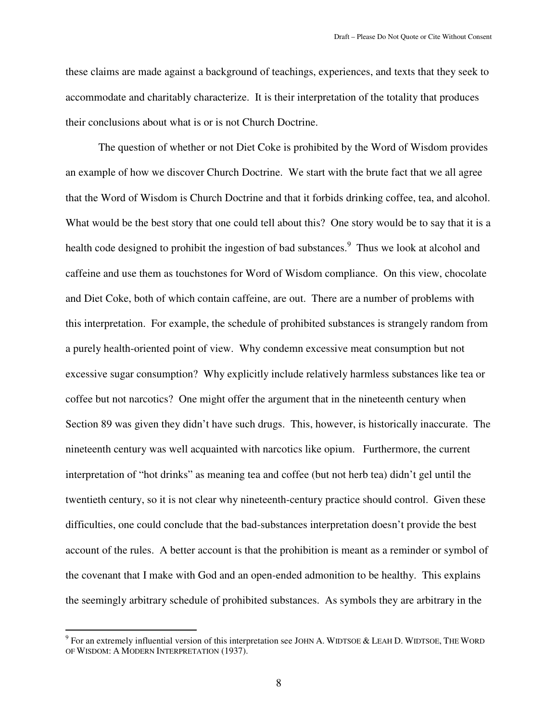these claims are made against a background of teachings, experiences, and texts that they seek to accommodate and charitably characterize. It is their interpretation of the totality that produces their conclusions about what is or is not Church Doctrine.

The question of whether or not Diet Coke is prohibited by the Word of Wisdom provides an example of how we discover Church Doctrine. We start with the brute fact that we all agree that the Word of Wisdom is Church Doctrine and that it forbids drinking coffee, tea, and alcohol. What would be the best story that one could tell about this? One story would be to say that it is a health code designed to prohibit the ingestion of bad substances.<sup>9</sup> Thus we look at alcohol and caffeine and use them as touchstones for Word of Wisdom compliance. On this view, chocolate and Diet Coke, both of which contain caffeine, are out. There are a number of problems with this interpretation. For example, the schedule of prohibited substances is strangely random from a purely health-oriented point of view. Why condemn excessive meat consumption but not excessive sugar consumption? Why explicitly include relatively harmless substances like tea or coffee but not narcotics? One might offer the argument that in the nineteenth century when Section 89 was given they didn't have such drugs. This, however, is historically inaccurate. The nineteenth century was well acquainted with narcotics like opium. Furthermore, the current interpretation of "hot drinks" as meaning tea and coffee (but not herb tea) didn't gel until the twentieth century, so it is not clear why nineteenth-century practice should control. Given these difficulties, one could conclude that the bad-substances interpretation doesn't provide the best account of the rules. A better account is that the prohibition is meant as a reminder or symbol of the covenant that I make with God and an open-ended admonition to be healthy. This explains the seemingly arbitrary schedule of prohibited substances. As symbols they are arbitrary in the

The sum extremely influential version of this interpretation see JOHN A. WIDTSOE & LEAH D. WIDTSOE, THE WORD OF WISDOM: A MODERN INTERPRETATION (1937).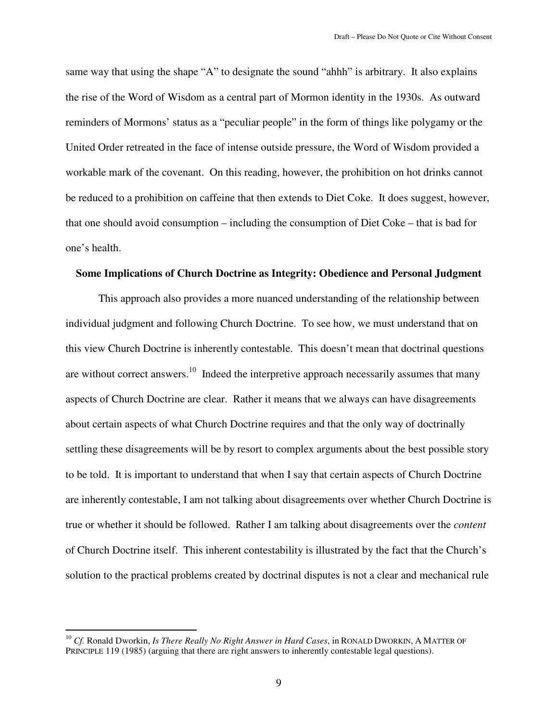same way that using the shape "A" to designate the sound "ahhh" is arbitrary. It also explains the rise of the Word of Wisdom as a central part of Mormon identity in the 1930s. As outward reminders of Mormons' status as a "peculiar people" in the form of things like polygamy or the United Order retreated in the face of intense outside pressure, the Word of Wisdom provided a workable mark of the covenant. On this reading, however, the prohibition on hot drinks cannot be reduced to a prohibition on caffeine that then extends to Diet Coke. It does suggest, however, that one should avoid consumption – including the consumption of Diet Coke – that is bad for one's health.

### **Some Implications of Church Doctrine as Integrity: Obedience and Personal Judgment**

This approach also provides a more nuanced understanding of the relationship between individual judgment and following Church Doctrine. To see how, we must understand that on this view Church Doctrine is inherently contestable. This doesn't mean that doctrinal questions are without correct answers.<sup>10</sup> Indeed the interpretive approach necessarily assumes that many aspects of Church Doctrine are clear. Rather it means that we always can have disagreements about certain aspects of what Church Doctrine requires and that the only way of doctrinally settling these disagreements will be by resort to complex arguments about the best possible story to be told. It is important to understand that when I say that certain aspects of Church Doctrine are inherently contestable, I am not talking about disagreements over whether Church Doctrine is true or whether it should be followed. Rather I am talking about disagreements over the *content* of Church Doctrine itself. This inherent contestability is illustrated by the fact that the Church's solution to the practical problems created by doctrinal disputes is not a clear and mechanical rule

<sup>&</sup>lt;sup>10</sup> *Cf.* Ronald Dworkin, *Is There Really No Right Answer in Hard Cases*, in RONALD DWORKIN, A MATTER OF PRINCIPLE 119 (1985) (arguing that there are right answers to inherently contestable legal questions).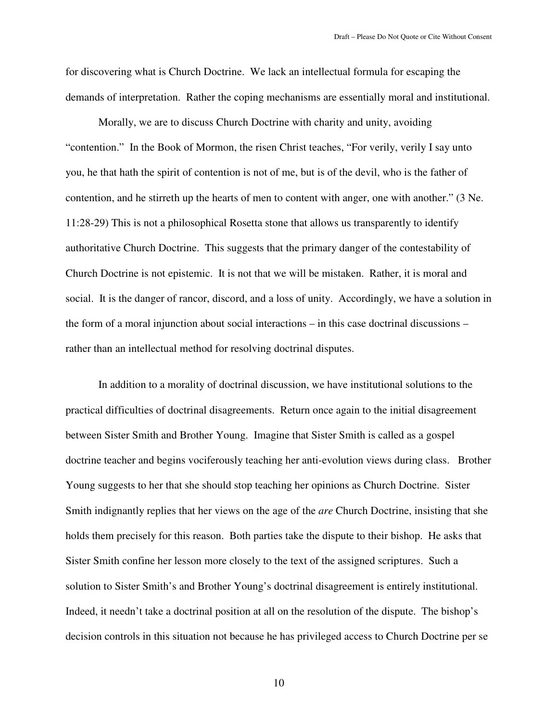for discovering what is Church Doctrine. We lack an intellectual formula for escaping the demands of interpretation. Rather the coping mechanisms are essentially moral and institutional.

Morally, we are to discuss Church Doctrine with charity and unity, avoiding "contention." In the Book of Mormon, the risen Christ teaches, "For verily, verily I say unto you, he that hath the spirit of contention is not of me, but is of the devil, who is the father of contention, and he stirreth up the hearts of men to content with anger, one with another." (3 Ne. 11:28-29) This is not a philosophical Rosetta stone that allows us transparently to identify authoritative Church Doctrine. This suggests that the primary danger of the contestability of Church Doctrine is not epistemic. It is not that we will be mistaken. Rather, it is moral and social. It is the danger of rancor, discord, and a loss of unity. Accordingly, we have a solution in the form of a moral injunction about social interactions – in this case doctrinal discussions – rather than an intellectual method for resolving doctrinal disputes.

 In addition to a morality of doctrinal discussion, we have institutional solutions to the practical difficulties of doctrinal disagreements. Return once again to the initial disagreement between Sister Smith and Brother Young. Imagine that Sister Smith is called as a gospel doctrine teacher and begins vociferously teaching her anti-evolution views during class. Brother Young suggests to her that she should stop teaching her opinions as Church Doctrine. Sister Smith indignantly replies that her views on the age of the *are* Church Doctrine, insisting that she holds them precisely for this reason. Both parties take the dispute to their bishop. He asks that Sister Smith confine her lesson more closely to the text of the assigned scriptures. Such a solution to Sister Smith's and Brother Young's doctrinal disagreement is entirely institutional. Indeed, it needn't take a doctrinal position at all on the resolution of the dispute. The bishop's decision controls in this situation not because he has privileged access to Church Doctrine per se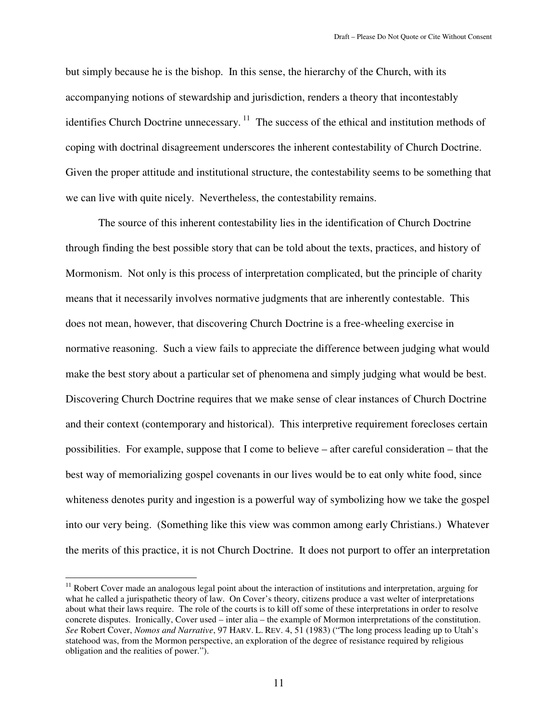but simply because he is the bishop. In this sense, the hierarchy of the Church, with its accompanying notions of stewardship and jurisdiction, renders a theory that incontestably identifies Church Doctrine unnecessary.<sup>11</sup> The success of the ethical and institution methods of coping with doctrinal disagreement underscores the inherent contestability of Church Doctrine. Given the proper attitude and institutional structure, the contestability seems to be something that we can live with quite nicely. Nevertheless, the contestability remains.

The source of this inherent contestability lies in the identification of Church Doctrine through finding the best possible story that can be told about the texts, practices, and history of Mormonism. Not only is this process of interpretation complicated, but the principle of charity means that it necessarily involves normative judgments that are inherently contestable. This does not mean, however, that discovering Church Doctrine is a free-wheeling exercise in normative reasoning. Such a view fails to appreciate the difference between judging what would make the best story about a particular set of phenomena and simply judging what would be best. Discovering Church Doctrine requires that we make sense of clear instances of Church Doctrine and their context (contemporary and historical). This interpretive requirement forecloses certain possibilities. For example, suppose that I come to believe – after careful consideration – that the best way of memorializing gospel covenants in our lives would be to eat only white food, since whiteness denotes purity and ingestion is a powerful way of symbolizing how we take the gospel into our very being. (Something like this view was common among early Christians.) Whatever the merits of this practice, it is not Church Doctrine. It does not purport to offer an interpretation

 $\overline{a}$ 

<sup>&</sup>lt;sup>11</sup> Robert Cover made an analogous legal point about the interaction of institutions and interpretation, arguing for what he called a jurispathetic theory of law. On Cover's theory, citizens produce a vast welter of interpretations about what their laws require. The role of the courts is to kill off some of these interpretations in order to resolve concrete disputes. Ironically, Cover used – inter alia – the example of Mormon interpretations of the constitution. *See* Robert Cover, *Nomos and Narrative*, 97 HARV. L. REV. 4, 51 (1983) ("The long process leading up to Utah's statehood was, from the Mormon perspective, an exploration of the degree of resistance required by religious obligation and the realities of power.").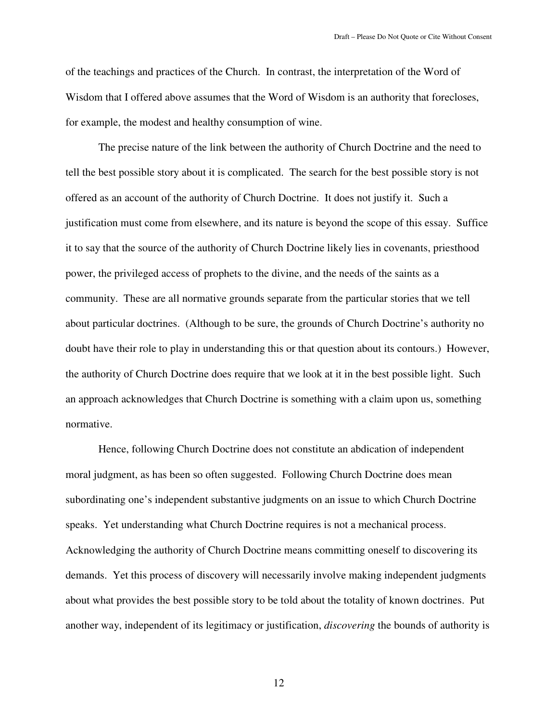of the teachings and practices of the Church. In contrast, the interpretation of the Word of Wisdom that I offered above assumes that the Word of Wisdom is an authority that forecloses, for example, the modest and healthy consumption of wine.

The precise nature of the link between the authority of Church Doctrine and the need to tell the best possible story about it is complicated. The search for the best possible story is not offered as an account of the authority of Church Doctrine. It does not justify it. Such a justification must come from elsewhere, and its nature is beyond the scope of this essay. Suffice it to say that the source of the authority of Church Doctrine likely lies in covenants, priesthood power, the privileged access of prophets to the divine, and the needs of the saints as a community. These are all normative grounds separate from the particular stories that we tell about particular doctrines. (Although to be sure, the grounds of Church Doctrine's authority no doubt have their role to play in understanding this or that question about its contours.) However, the authority of Church Doctrine does require that we look at it in the best possible light. Such an approach acknowledges that Church Doctrine is something with a claim upon us, something normative.

Hence, following Church Doctrine does not constitute an abdication of independent moral judgment, as has been so often suggested. Following Church Doctrine does mean subordinating one's independent substantive judgments on an issue to which Church Doctrine speaks. Yet understanding what Church Doctrine requires is not a mechanical process. Acknowledging the authority of Church Doctrine means committing oneself to discovering its demands. Yet this process of discovery will necessarily involve making independent judgments about what provides the best possible story to be told about the totality of known doctrines. Put another way, independent of its legitimacy or justification, *discovering* the bounds of authority is